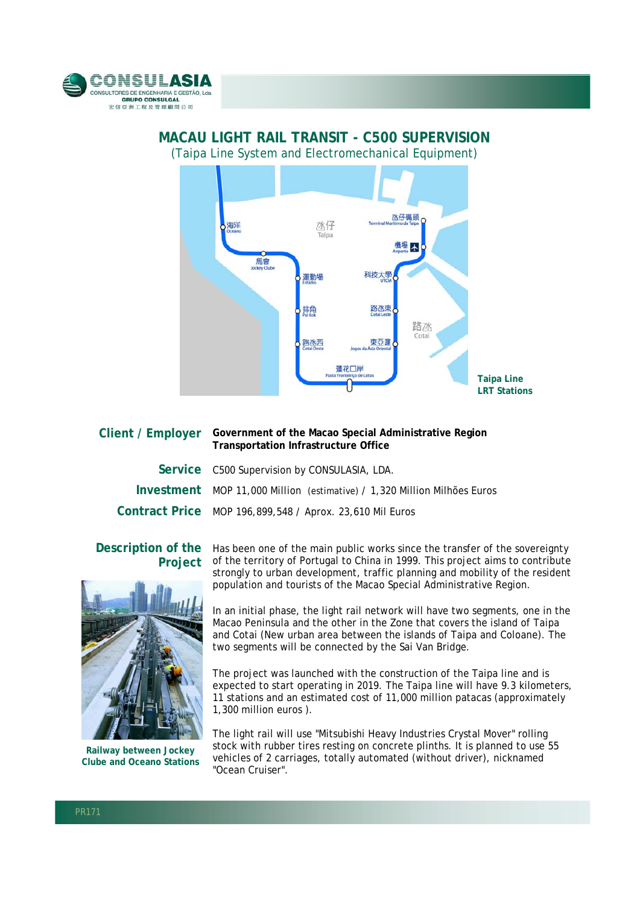



## **MACAU LIGHT RAIL TRANSIT - C500 SUPERVISION**

|  | <b>Transportation Infrastructure Office</b>                              |
|--|--------------------------------------------------------------------------|
|  | Service C500 Supervision by CONSULASIA, LDA.                             |
|  | Investment MOP 11,000 Million (estimative) / 1,320 Million Milhões Euros |
|  | Contract Price MOP 196,899,548 / Aprox. 23,610 Mil Euros                 |
|  |                                                                          |

**Client / Employer Government of the Macao Special Administrative Region** 

## **Project**



**Railway between Jockey Clube and Oceano Stations**

Description of the Has been one of the main public works since the transfer of the sovereignty of the territory of Portugal to China in 1999. This project aims to contribute strongly to urban development, traffic planning and mobility of the resident population and tourists of the Macao Special Administrative Region.

> In an initial phase, the light rail network will have two segments, one in the Macao Peninsula and the other in the Zone that covers the island of Taipa and Cotai (New urban area between the islands of Taipa and Coloane). The two segments will be connected by the Sai Van Bridge.

> The project was launched with the construction of the Taipa line and is expected to start operating in 2019. The Taipa line will have 9.3 kilometers, 11 stations and an estimated cost of 11,000 million patacas (approximately 1,300 million euros ).

The light rail will use "Mitsubishi Heavy Industries Crystal Mover" rolling stock with rubber tires resting on concrete plinths. It is planned to use 55 vehicles of 2 carriages, totally automated (without driver), nicknamed "Ocean Cruiser".

l